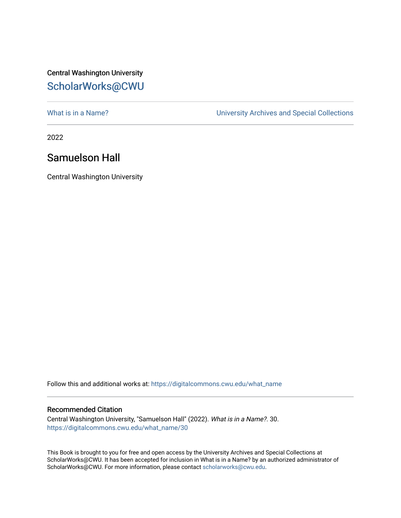## Central Washington University [ScholarWorks@CWU](https://digitalcommons.cwu.edu/)

[What is in a Name?](https://digitalcommons.cwu.edu/what_name) **What is in a Name?** University Archives and Special Collections

2022

## Samuelson Hall

Central Washington University

Follow this and additional works at: [https://digitalcommons.cwu.edu/what\\_name](https://digitalcommons.cwu.edu/what_name?utm_source=digitalcommons.cwu.edu%2Fwhat_name%2F30&utm_medium=PDF&utm_campaign=PDFCoverPages) 

## Recommended Citation

Central Washington University, "Samuelson Hall" (2022). What is in a Name?. 30. [https://digitalcommons.cwu.edu/what\\_name/30](https://digitalcommons.cwu.edu/what_name/30?utm_source=digitalcommons.cwu.edu%2Fwhat_name%2F30&utm_medium=PDF&utm_campaign=PDFCoverPages) 

This Book is brought to you for free and open access by the University Archives and Special Collections at ScholarWorks@CWU. It has been accepted for inclusion in What is in a Name? by an authorized administrator of ScholarWorks@CWU. For more information, please contact [scholarworks@cwu.edu](mailto:scholarworks@cwu.edu).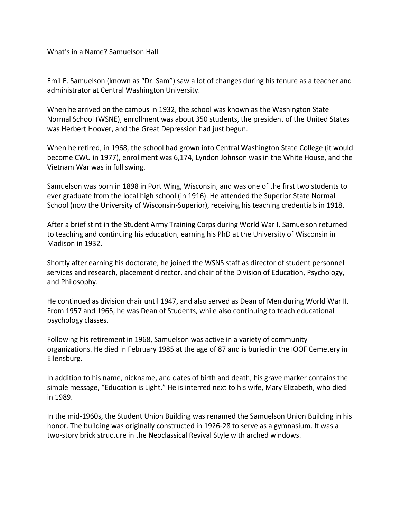What's in a Name? Samuelson Hall

Emil E. Samuelson (known as "Dr. Sam") saw a lot of changes during his tenure as a teacher and administrator at Central Washington University.

When he arrived on the campus in 1932, the school was known as the Washington State Normal School (WSNE), enrollment was about 350 students, the president of the United States was Herbert Hoover, and the Great Depression had just begun.

When he retired, in 1968, the school had grown into Central Washington State College (it would become CWU in 1977), enrollment was 6,174, Lyndon Johnson was in the White House, and the Vietnam War was in full swing.

Samuelson was born in 1898 in Port Wing, Wisconsin, and was one of the first two students to ever graduate from the local high school (in 1916). He attended the Superior State Normal School (now the University of Wisconsin-Superior), receiving his teaching credentials in 1918.

After a brief stint in the Student Army Training Corps during World War I, Samuelson returned to teaching and continuing his education, earning his PhD at the University of Wisconsin in Madison in 1932.

Shortly after earning his doctorate, he joined the WSNS staff as director of student personnel services and research, placement director, and chair of the Division of Education, Psychology, and Philosophy.

He continued as division chair until 1947, and also served as Dean of Men during World War II. From 1957 and 1965, he was Dean of Students, while also continuing to teach educational psychology classes.

Following his retirement in 1968, Samuelson was active in a variety of community organizations. He died in February 1985 at the age of 87 and is buried in the IOOF Cemetery in Ellensburg.

In addition to his name, nickname, and dates of birth and death, his grave marker contains the simple message, "Education is Light." He is interred next to his wife, Mary Elizabeth, who died in 1989.

In the mid-1960s, the Student Union Building was renamed the Samuelson Union Building in his honor. The building was originally constructed in 1926-28 to serve as a gymnasium. It was a two-story brick structure in the Neoclassical Revival Style with arched windows.